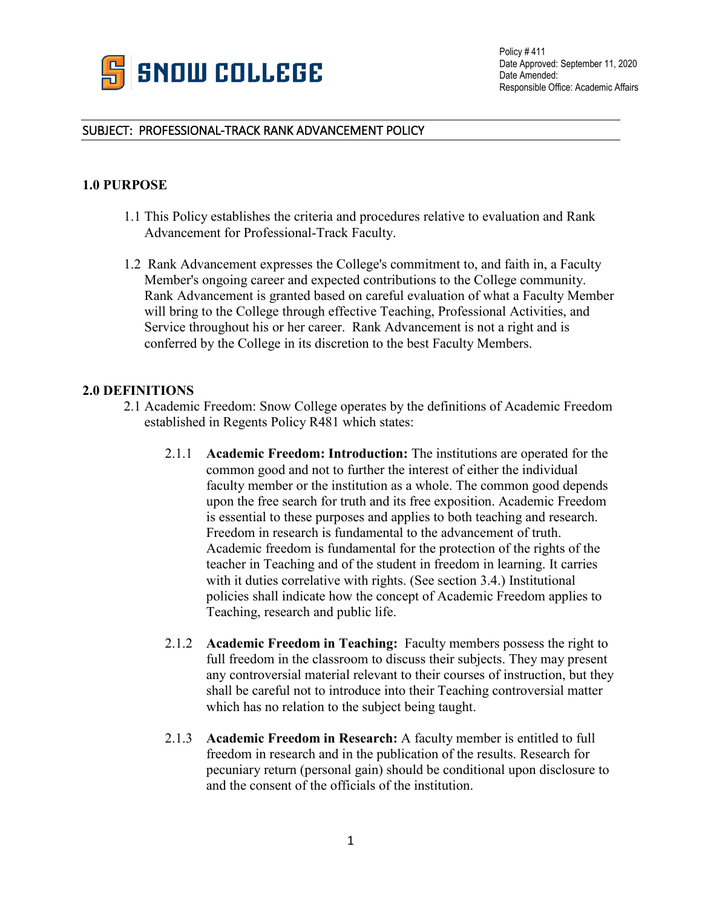

### SUBJECT: PROFESSIONAL-TRACK RANK ADVANCEMENT POLICY

## **1.0 PURPOSE**

- 1.1 This Policy establishes the criteria and procedures relative to evaluation and Rank Advancement for Professional-Track Faculty.
- 1.2 Rank Advancement expresses the College's commitment to, and faith in, a Faculty Member's ongoing career and expected contributions to the College community. Rank Advancement is granted based on careful evaluation of what a Faculty Member will bring to the College through effective Teaching, Professional Activities, and Service throughout his or her career. Rank Advancement is not a right and is conferred by the College in its discretion to the best Faculty Members.

### **2.0 DEFINITIONS**

- 2.1 Academic Freedom: Snow College operates by the definitions of Academic Freedom established in Regents Policy R481 which states:
	- 2.1.1 **Academic Freedom: Introduction:** The institutions are operated for the common good and not to further the interest of either the individual faculty member or the institution as a whole. The common good depends upon the free search for truth and its free exposition. Academic Freedom is essential to these purposes and applies to both teaching and research. Freedom in research is fundamental to the advancement of truth. Academic freedom is fundamental for the protection of the rights of the teacher in Teaching and of the student in freedom in learning. It carries with it duties correlative with rights. (See section 3.4.) Institutional policies shall indicate how the concept of Academic Freedom applies to Teaching, research and public life.
	- 2.1.2 **Academic Freedom in Teaching:** Faculty members possess the right to full freedom in the classroom to discuss their subjects. They may present any controversial material relevant to their courses of instruction, but they shall be careful not to introduce into their Teaching controversial matter which has no relation to the subject being taught.
	- 2.1.3 **Academic Freedom in Research:** A faculty member is entitled to full freedom in research and in the publication of the results. Research for pecuniary return (personal gain) should be conditional upon disclosure to and the consent of the officials of the institution.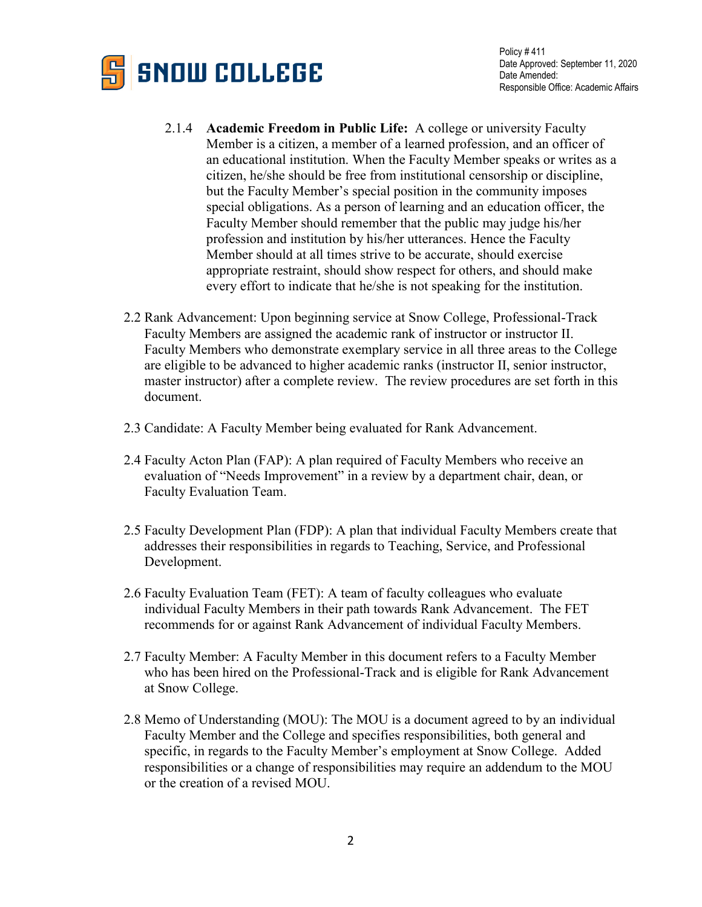

- 2.1.4 **Academic Freedom in Public Life:** A college or university Faculty Member is a citizen, a member of a learned profession, and an officer of an educational institution. When the Faculty Member speaks or writes as a citizen, he/she should be free from institutional censorship or discipline, but the Faculty Member's special position in the community imposes special obligations. As a person of learning and an education officer, the Faculty Member should remember that the public may judge his/her profession and institution by his/her utterances. Hence the Faculty Member should at all times strive to be accurate, should exercise appropriate restraint, should show respect for others, and should make every effort to indicate that he/she is not speaking for the institution.
- 2.2 Rank Advancement: Upon beginning service at Snow College, Professional-Track Faculty Members are assigned the academic rank of instructor or instructor II. Faculty Members who demonstrate exemplary service in all three areas to the College are eligible to be advanced to higher academic ranks (instructor II, senior instructor, master instructor) after a complete review. The review procedures are set forth in this document.
- 2.3 Candidate: A Faculty Member being evaluated for Rank Advancement.
- 2.4 Faculty Acton Plan (FAP): A plan required of Faculty Members who receive an evaluation of "Needs Improvement" in a review by a department chair, dean, or Faculty Evaluation Team.
- 2.5 Faculty Development Plan (FDP): A plan that individual Faculty Members create that addresses their responsibilities in regards to Teaching, Service, and Professional Development.
- 2.6 Faculty Evaluation Team (FET): A team of faculty colleagues who evaluate individual Faculty Members in their path towards Rank Advancement. The FET recommends for or against Rank Advancement of individual Faculty Members.
- 2.7 Faculty Member: A Faculty Member in this document refers to a Faculty Member who has been hired on the Professional-Track and is eligible for Rank Advancement at Snow College.
- 2.8 Memo of Understanding (MOU): The MOU is a document agreed to by an individual Faculty Member and the College and specifies responsibilities, both general and specific, in regards to the Faculty Member's employment at Snow College. Added responsibilities or a change of responsibilities may require an addendum to the MOU or the creation of a revised MOU.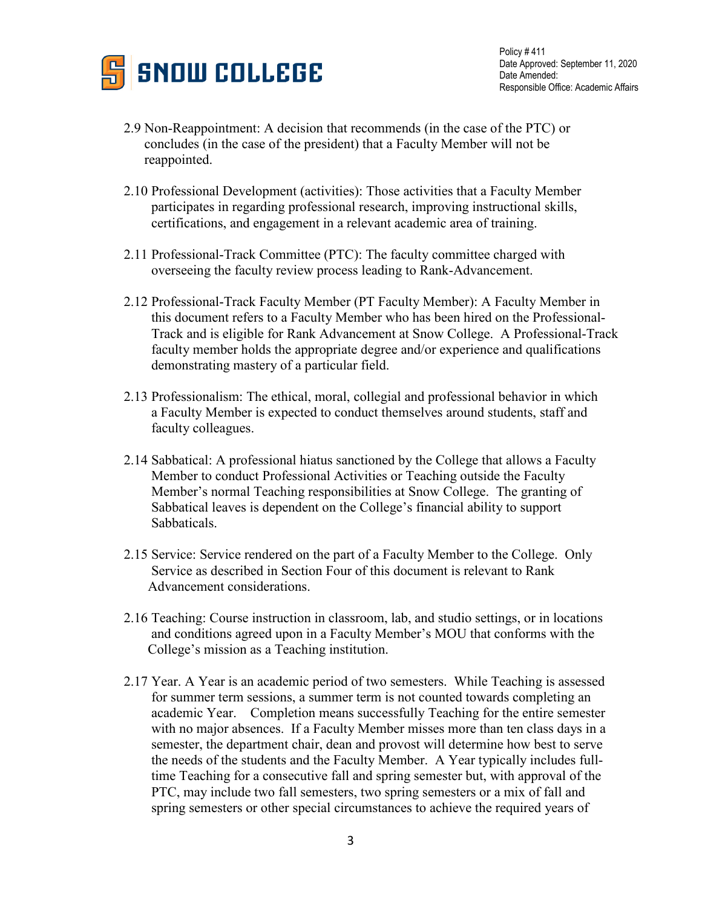

- 2.9 Non-Reappointment: A decision that recommends (in the case of the PTC) or concludes (in the case of the president) that a Faculty Member will not be reappointed.
- 2.10 Professional Development (activities): Those activities that a Faculty Member participates in regarding professional research, improving instructional skills, certifications, and engagement in a relevant academic area of training.
- 2.11 Professional-Track Committee (PTC): The faculty committee charged with overseeing the faculty review process leading to Rank-Advancement.
- 2.12 Professional-Track Faculty Member (PT Faculty Member): A Faculty Member in this document refers to a Faculty Member who has been hired on the Professional-Track and is eligible for Rank Advancement at Snow College. A Professional-Track faculty member holds the appropriate degree and/or experience and qualifications demonstrating mastery of a particular field.
- 2.13 Professionalism: The ethical, moral, collegial and professional behavior in which a Faculty Member is expected to conduct themselves around students, staff and faculty colleagues.
- 2.14 Sabbatical: A professional hiatus sanctioned by the College that allows a Faculty Member to conduct Professional Activities or Teaching outside the Faculty Member's normal Teaching responsibilities at Snow College. The granting of Sabbatical leaves is dependent on the College's financial ability to support Sabbaticals.
- 2.15 Service: Service rendered on the part of a Faculty Member to the College. Only Service as described in Section Four of this document is relevant to Rank Advancement considerations.
- 2.16 Teaching: Course instruction in classroom, lab, and studio settings, or in locations and conditions agreed upon in a Faculty Member's MOU that conforms with the College's mission as a Teaching institution.
- 2.17 Year. A Year is an academic period of two semesters. While Teaching is assessed for summer term sessions, a summer term is not counted towards completing an academic Year. Completion means successfully Teaching for the entire semester with no major absences. If a Faculty Member misses more than ten class days in a semester, the department chair, dean and provost will determine how best to serve the needs of the students and the Faculty Member. A Year typically includes fulltime Teaching for a consecutive fall and spring semester but, with approval of the PTC, may include two fall semesters, two spring semesters or a mix of fall and spring semesters or other special circumstances to achieve the required years of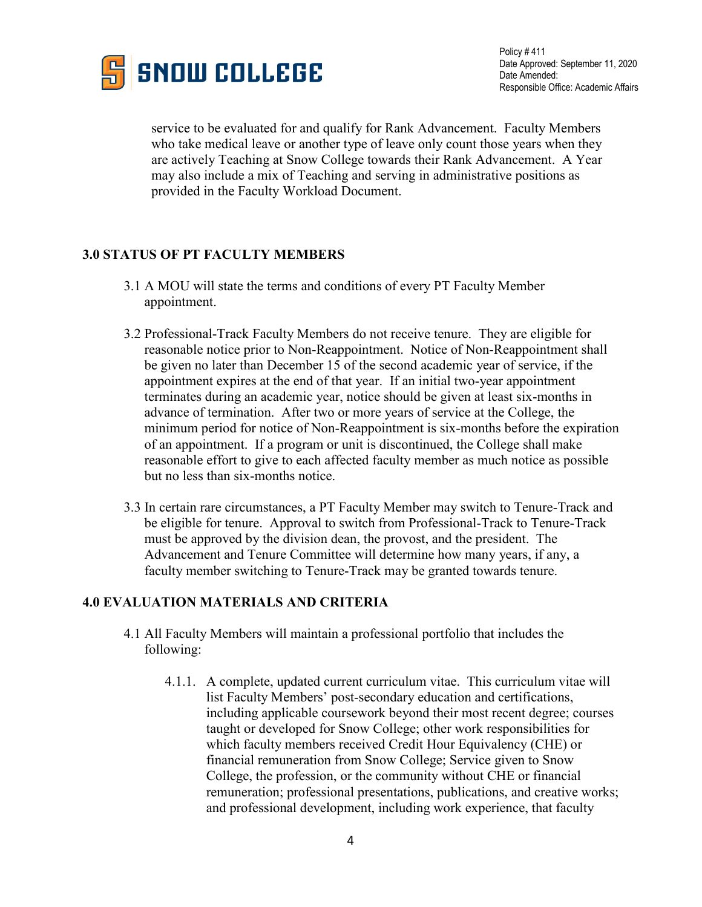

service to be evaluated for and qualify for Rank Advancement. Faculty Members who take medical leave or another type of leave only count those years when they are actively Teaching at Snow College towards their Rank Advancement. A Year may also include a mix of Teaching and serving in administrative positions as provided in the Faculty Workload Document.

# **3.0 STATUS OF PT FACULTY MEMBERS**

- 3.1 A MOU will state the terms and conditions of every PT Faculty Member appointment.
- 3.2 Professional-Track Faculty Members do not receive tenure. They are eligible for reasonable notice prior to Non-Reappointment. Notice of Non-Reappointment shall be given no later than December 15 of the second academic year of service, if the appointment expires at the end of that year. If an initial two-year appointment terminates during an academic year, notice should be given at least six-months in advance of termination. After two or more years of service at the College, the minimum period for notice of Non-Reappointment is six-months before the expiration of an appointment. If a program or unit is discontinued, the College shall make reasonable effort to give to each affected faculty member as much notice as possible but no less than six-months notice.
- 3.3 In certain rare circumstances, a PT Faculty Member may switch to Tenure-Track and be eligible for tenure. Approval to switch from Professional-Track to Tenure-Track must be approved by the division dean, the provost, and the president. The Advancement and Tenure Committee will determine how many years, if any, a faculty member switching to Tenure-Track may be granted towards tenure.

# **4.0 EVALUATION MATERIALS AND CRITERIA**

- 4.1 All Faculty Members will maintain a professional portfolio that includes the following:
	- 4.1.1. A complete, updated current curriculum vitae. This curriculum vitae will list Faculty Members' post-secondary education and certifications, including applicable coursework beyond their most recent degree; courses taught or developed for Snow College; other work responsibilities for which faculty members received Credit Hour Equivalency (CHE) or financial remuneration from Snow College; Service given to Snow College, the profession, or the community without CHE or financial remuneration; professional presentations, publications, and creative works; and professional development, including work experience, that faculty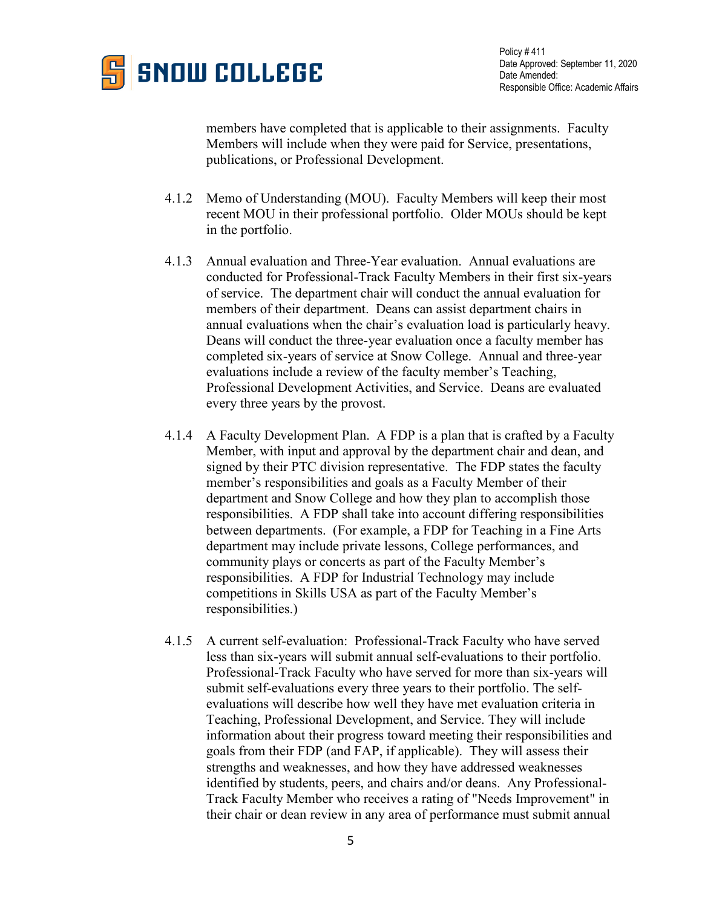

members have completed that is applicable to their assignments. Faculty Members will include when they were paid for Service, presentations, publications, or Professional Development.

- 4.1.2 Memo of Understanding (MOU). Faculty Members will keep their most recent MOU in their professional portfolio. Older MOUs should be kept in the portfolio.
- 4.1.3 Annual evaluation and Three-Year evaluation. Annual evaluations are conducted for Professional-Track Faculty Members in their first six-years of service. The department chair will conduct the annual evaluation for members of their department. Deans can assist department chairs in annual evaluations when the chair's evaluation load is particularly heavy. Deans will conduct the three-year evaluation once a faculty member has completed six-years of service at Snow College. Annual and three-year evaluations include a review of the faculty member's Teaching, Professional Development Activities, and Service. Deans are evaluated every three years by the provost.
- 4.1.4 A Faculty Development Plan. A FDP is a plan that is crafted by a Faculty Member, with input and approval by the department chair and dean, and signed by their PTC division representative. The FDP states the faculty member's responsibilities and goals as a Faculty Member of their department and Snow College and how they plan to accomplish those responsibilities. A FDP shall take into account differing responsibilities between departments. (For example, a FDP for Teaching in a Fine Arts department may include private lessons, College performances, and community plays or concerts as part of the Faculty Member's responsibilities. A FDP for Industrial Technology may include competitions in Skills USA as part of the Faculty Member's responsibilities.)
- 4.1.5 A current self-evaluation: Professional-Track Faculty who have served less than six-years will submit annual self-evaluations to their portfolio. Professional-Track Faculty who have served for more than six-years will submit self-evaluations every three years to their portfolio. The selfevaluations will describe how well they have met evaluation criteria in Teaching, Professional Development, and Service. They will include information about their progress toward meeting their responsibilities and goals from their FDP (and FAP, if applicable). They will assess their strengths and weaknesses, and how they have addressed weaknesses identified by students, peers, and chairs and/or deans. Any Professional-Track Faculty Member who receives a rating of "Needs Improvement" in their chair or dean review in any area of performance must submit annual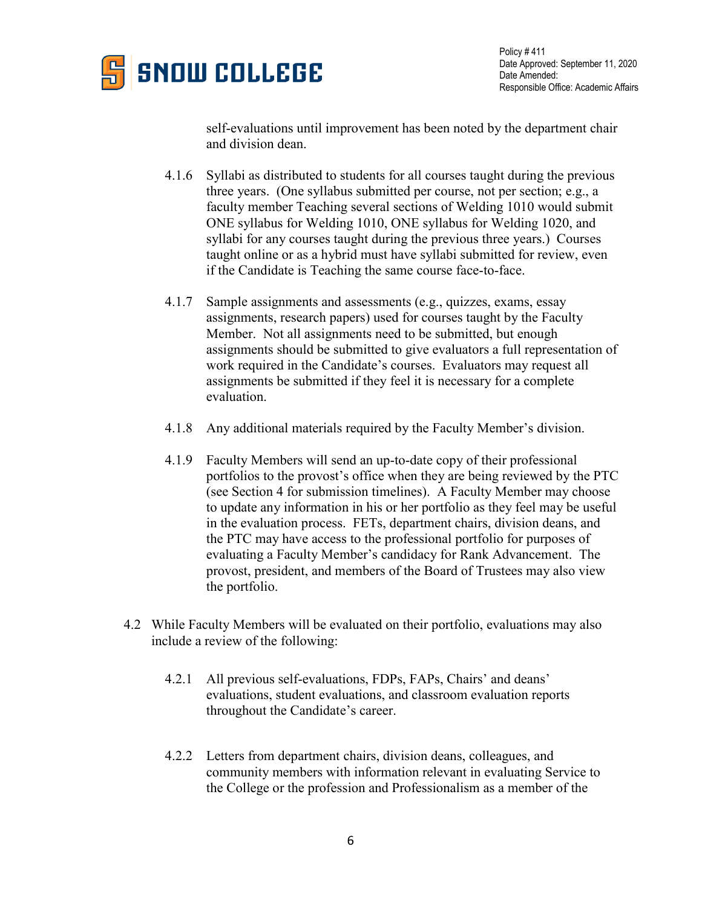

self-evaluations until improvement has been noted by the department chair and division dean.

- 4.1.6 Syllabi as distributed to students for all courses taught during the previous three years. (One syllabus submitted per course, not per section; e.g., a faculty member Teaching several sections of Welding 1010 would submit ONE syllabus for Welding 1010, ONE syllabus for Welding 1020, and syllabi for any courses taught during the previous three years.) Courses taught online or as a hybrid must have syllabi submitted for review, even if the Candidate is Teaching the same course face-to-face.
- 4.1.7 Sample assignments and assessments (e.g., quizzes, exams, essay assignments, research papers) used for courses taught by the Faculty Member. Not all assignments need to be submitted, but enough assignments should be submitted to give evaluators a full representation of work required in the Candidate's courses. Evaluators may request all assignments be submitted if they feel it is necessary for a complete evaluation.
- 4.1.8 Any additional materials required by the Faculty Member's division.
- 4.1.9 Faculty Members will send an up-to-date copy of their professional portfolios to the provost's office when they are being reviewed by the PTC (see Section 4 for submission timelines). A Faculty Member may choose to update any information in his or her portfolio as they feel may be useful in the evaluation process. FETs, department chairs, division deans, and the PTC may have access to the professional portfolio for purposes of evaluating a Faculty Member's candidacy for Rank Advancement. The provost, president, and members of the Board of Trustees may also view the portfolio.
- 4.2 While Faculty Members will be evaluated on their portfolio, evaluations may also include a review of the following:
	- 4.2.1 All previous self-evaluations, FDPs, FAPs, Chairs' and deans' evaluations, student evaluations, and classroom evaluation reports throughout the Candidate's career.
	- 4.2.2 Letters from department chairs, division deans, colleagues, and community members with information relevant in evaluating Service to the College or the profession and Professionalism as a member of the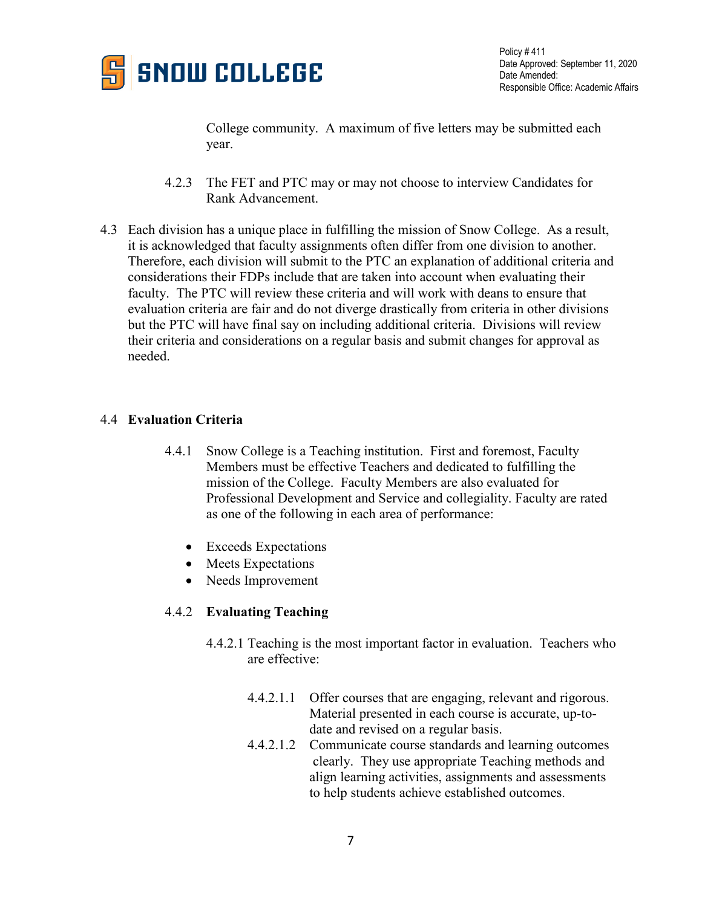

College community. A maximum of five letters may be submitted each year.

- 4.2.3 The FET and PTC may or may not choose to interview Candidates for Rank Advancement.
- 4.3 Each division has a unique place in fulfilling the mission of Snow College. As a result, it is acknowledged that faculty assignments often differ from one division to another. Therefore, each division will submit to the PTC an explanation of additional criteria and considerations their FDPs include that are taken into account when evaluating their faculty. The PTC will review these criteria and will work with deans to ensure that evaluation criteria are fair and do not diverge drastically from criteria in other divisions but the PTC will have final say on including additional criteria. Divisions will review their criteria and considerations on a regular basis and submit changes for approval as needed.

# 4.4 **Evaluation Criteria**

- 4.4.1 Snow College is a Teaching institution. First and foremost, Faculty Members must be effective Teachers and dedicated to fulfilling the mission of the College. Faculty Members are also evaluated for Professional Development and Service and collegiality. Faculty are rated as one of the following in each area of performance:
	- Exceeds Expectations
	- Meets Expectations
	- Needs Improvement

# 4.4.2 **Evaluating Teaching**

- 4.4.2.1 Teaching is the most important factor in evaluation. Teachers who are effective:
	- 4.4.2.1.1 Offer courses that are engaging, relevant and rigorous. Material presented in each course is accurate, up-todate and revised on a regular basis.
	- 4.4.2.1.2 Communicate course standards and learning outcomes clearly. They use appropriate Teaching methods and align learning activities, assignments and assessments to help students achieve established outcomes.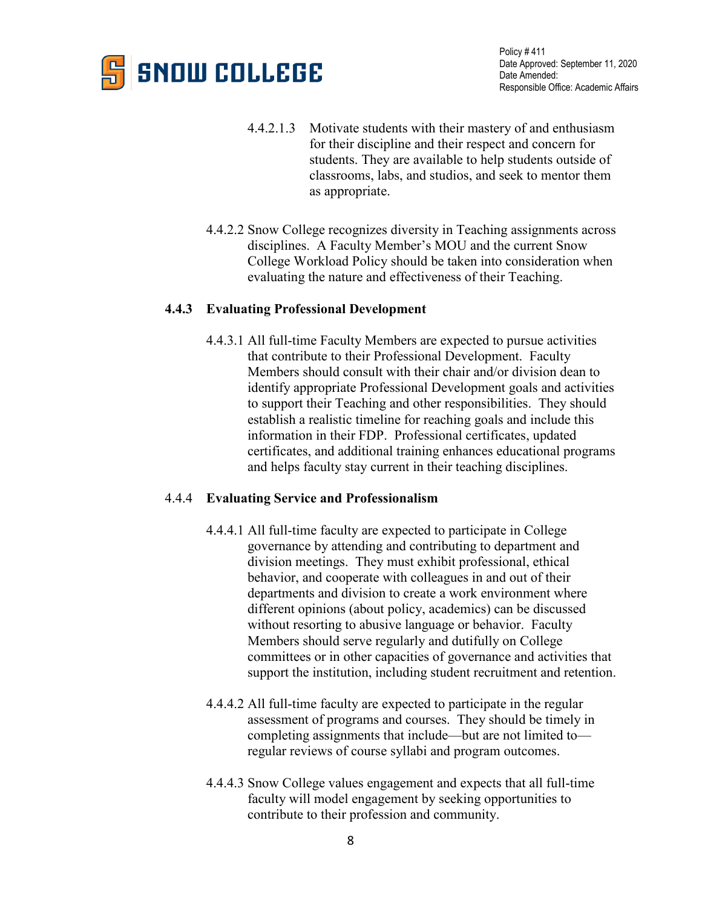

- 4.4.2.1.3 Motivate students with their mastery of and enthusiasm for their discipline and their respect and concern for students. They are available to help students outside of classrooms, labs, and studios, and seek to mentor them as appropriate.
- 4.4.2.2 Snow College recognizes diversity in Teaching assignments across disciplines. A Faculty Member's MOU and the current Snow College Workload Policy should be taken into consideration when evaluating the nature and effectiveness of their Teaching.

# **4.4.3 Evaluating Professional Development**

4.4.3.1 All full-time Faculty Members are expected to pursue activities that contribute to their Professional Development. Faculty Members should consult with their chair and/or division dean to identify appropriate Professional Development goals and activities to support their Teaching and other responsibilities. They should establish a realistic timeline for reaching goals and include this information in their FDP. Professional certificates, updated certificates, and additional training enhances educational programs and helps faculty stay current in their teaching disciplines.

### 4.4.4 **Evaluating Service and Professionalism**

- 4.4.4.1 All full-time faculty are expected to participate in College governance by attending and contributing to department and division meetings. They must exhibit professional, ethical behavior, and cooperate with colleagues in and out of their departments and division to create a work environment where different opinions (about policy, academics) can be discussed without resorting to abusive language or behavior. Faculty Members should serve regularly and dutifully on College committees or in other capacities of governance and activities that support the institution, including student recruitment and retention.
- 4.4.4.2 All full-time faculty are expected to participate in the regular assessment of programs and courses. They should be timely in completing assignments that include—but are not limited to regular reviews of course syllabi and program outcomes.
- 4.4.4.3 Snow College values engagement and expects that all full-time faculty will model engagement by seeking opportunities to contribute to their profession and community.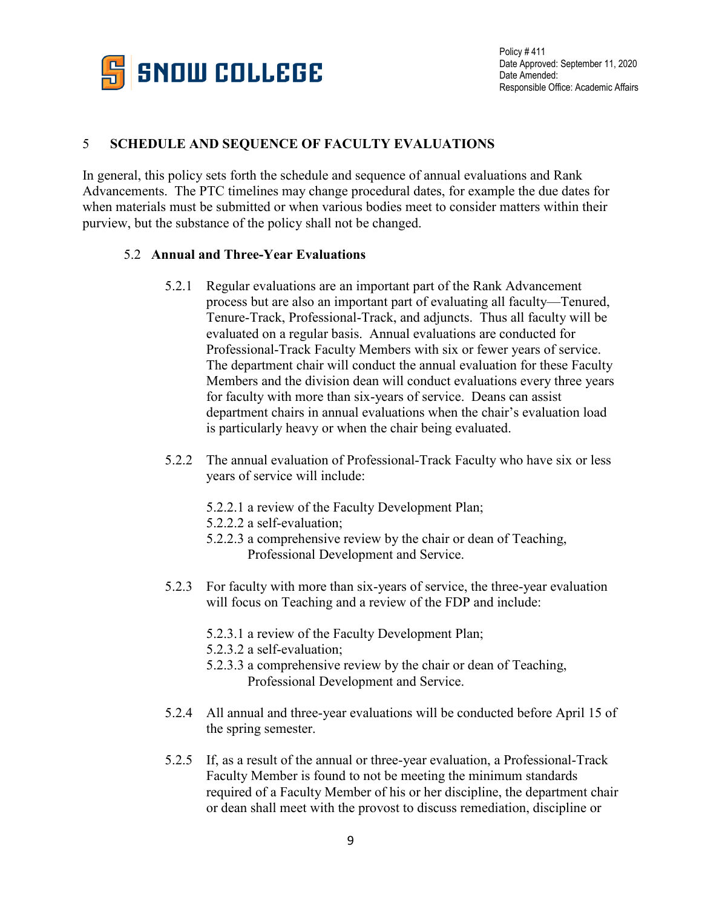

# 5 **SCHEDULE AND SEQUENCE OF FACULTY EVALUATIONS**

In general, this policy sets forth the schedule and sequence of annual evaluations and Rank Advancements. The PTC timelines may change procedural dates, for example the due dates for when materials must be submitted or when various bodies meet to consider matters within their purview, but the substance of the policy shall not be changed.

### 5.2 **Annual and Three-Year Evaluations**

- 5.2.1 Regular evaluations are an important part of the Rank Advancement process but are also an important part of evaluating all faculty—Tenured, Tenure-Track, Professional-Track, and adjuncts. Thus all faculty will be evaluated on a regular basis. Annual evaluations are conducted for Professional-Track Faculty Members with six or fewer years of service. The department chair will conduct the annual evaluation for these Faculty Members and the division dean will conduct evaluations every three years for faculty with more than six-years of service. Deans can assist department chairs in annual evaluations when the chair's evaluation load is particularly heavy or when the chair being evaluated.
- 5.2.2 The annual evaluation of Professional-Track Faculty who have six or less years of service will include:
	- 5.2.2.1 a review of the Faculty Development Plan;
	- 5.2.2.2 a self-evaluation;
	- 5.2.2.3 a comprehensive review by the chair or dean of Teaching, Professional Development and Service.
- 5.2.3 For faculty with more than six-years of service, the three-year evaluation will focus on Teaching and a review of the FDP and include:
	- 5.2.3.1 a review of the Faculty Development Plan;
	- 5.2.3.2 a self-evaluation;
	- 5.2.3.3 a comprehensive review by the chair or dean of Teaching, Professional Development and Service.
- 5.2.4 All annual and three-year evaluations will be conducted before April 15 of the spring semester.
- 5.2.5 If, as a result of the annual or three-year evaluation, a Professional-Track Faculty Member is found to not be meeting the minimum standards required of a Faculty Member of his or her discipline, the department chair or dean shall meet with the provost to discuss remediation, discipline or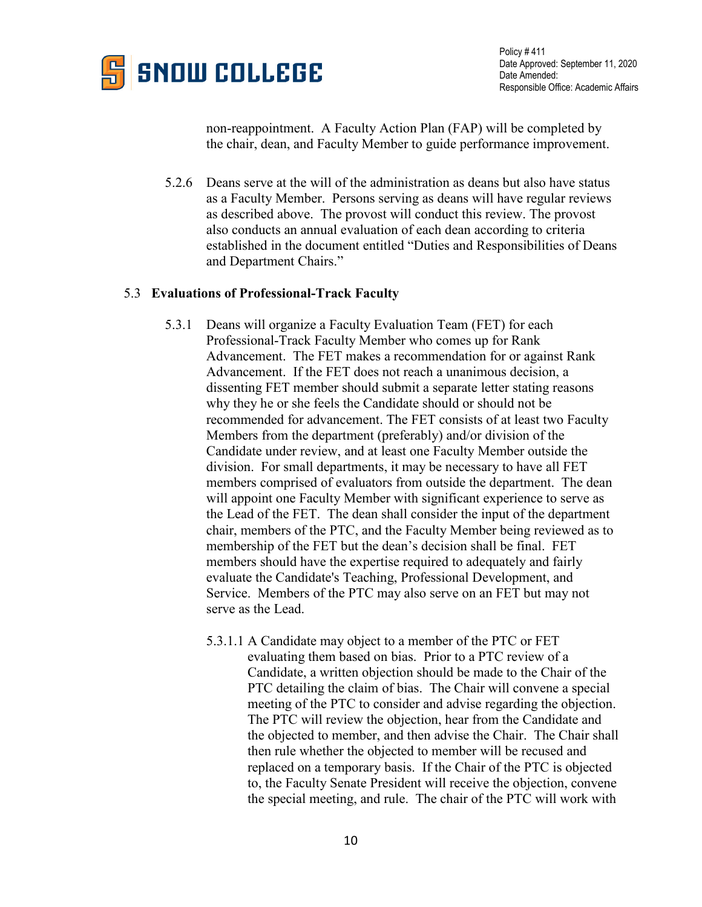

non-reappointment. A Faculty Action Plan (FAP) will be completed by the chair, dean, and Faculty Member to guide performance improvement.

5.2.6 Deans serve at the will of the administration as deans but also have status as a Faculty Member. Persons serving as deans will have regular reviews as described above. The provost will conduct this review. The provost also conducts an annual evaluation of each dean according to criteria established in the document entitled "Duties and Responsibilities of Deans and Department Chairs."

### 5.3 **Evaluations of Professional-Track Faculty**

- 5.3.1 Deans will organize a Faculty Evaluation Team (FET) for each Professional-Track Faculty Member who comes up for Rank Advancement. The FET makes a recommendation for or against Rank Advancement. If the FET does not reach a unanimous decision, a dissenting FET member should submit a separate letter stating reasons why they he or she feels the Candidate should or should not be recommended for advancement. The FET consists of at least two Faculty Members from the department (preferably) and/or division of the Candidate under review, and at least one Faculty Member outside the division. For small departments, it may be necessary to have all FET members comprised of evaluators from outside the department. The dean will appoint one Faculty Member with significant experience to serve as the Lead of the FET. The dean shall consider the input of the department chair, members of the PTC, and the Faculty Member being reviewed as to membership of the FET but the dean's decision shall be final. FET members should have the expertise required to adequately and fairly evaluate the Candidate's Teaching, Professional Development, and Service. Members of the PTC may also serve on an FET but may not serve as the Lead.
	- 5.3.1.1 A Candidate may object to a member of the PTC or FET evaluating them based on bias. Prior to a PTC review of a Candidate, a written objection should be made to the Chair of the PTC detailing the claim of bias. The Chair will convene a special meeting of the PTC to consider and advise regarding the objection. The PTC will review the objection, hear from the Candidate and the objected to member, and then advise the Chair. The Chair shall then rule whether the objected to member will be recused and replaced on a temporary basis. If the Chair of the PTC is objected to, the Faculty Senate President will receive the objection, convene the special meeting, and rule. The chair of the PTC will work with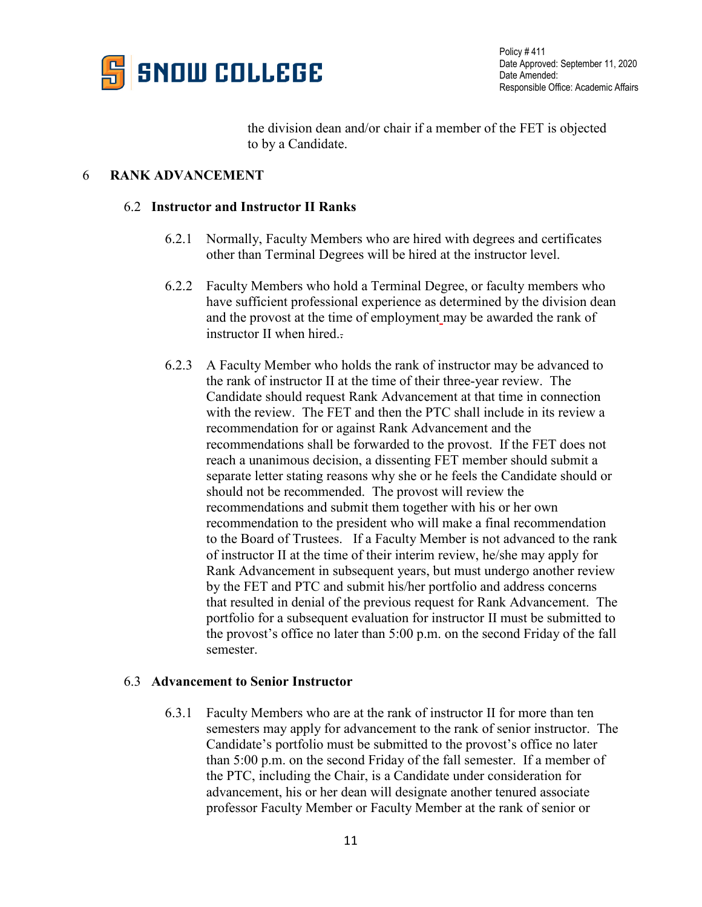

the division dean and/or chair if a member of the FET is objected to by a Candidate.

# 6 **RANK ADVANCEMENT**

### 6.2 **Instructor and Instructor II Ranks**

- 6.2.1 Normally, Faculty Members who are hired with degrees and certificates other than Terminal Degrees will be hired at the instructor level.
- 6.2.2 Faculty Members who hold a Terminal Degree, or faculty members who have sufficient professional experience as determined by the division dean and the provost at the time of employment may be awarded the rank of instructor II when hired..
- 6.2.3 A Faculty Member who holds the rank of instructor may be advanced to the rank of instructor II at the time of their three-year review. The Candidate should request Rank Advancement at that time in connection with the review. The FET and then the PTC shall include in its review a recommendation for or against Rank Advancement and the recommendations shall be forwarded to the provost. If the FET does not reach a unanimous decision, a dissenting FET member should submit a separate letter stating reasons why she or he feels the Candidate should or should not be recommended. The provost will review the recommendations and submit them together with his or her own recommendation to the president who will make a final recommendation to the Board of Trustees. If a Faculty Member is not advanced to the rank of instructor II at the time of their interim review, he/she may apply for Rank Advancement in subsequent years, but must undergo another review by the FET and PTC and submit his/her portfolio and address concerns that resulted in denial of the previous request for Rank Advancement. The portfolio for a subsequent evaluation for instructor II must be submitted to the provost's office no later than 5:00 p.m. on the second Friday of the fall semester.

### 6.3 **Advancement to Senior Instructor**

6.3.1 Faculty Members who are at the rank of instructor II for more than ten semesters may apply for advancement to the rank of senior instructor. The Candidate's portfolio must be submitted to the provost's office no later than 5:00 p.m. on the second Friday of the fall semester. If a member of the PTC, including the Chair, is a Candidate under consideration for advancement, his or her dean will designate another tenured associate professor Faculty Member or Faculty Member at the rank of senior or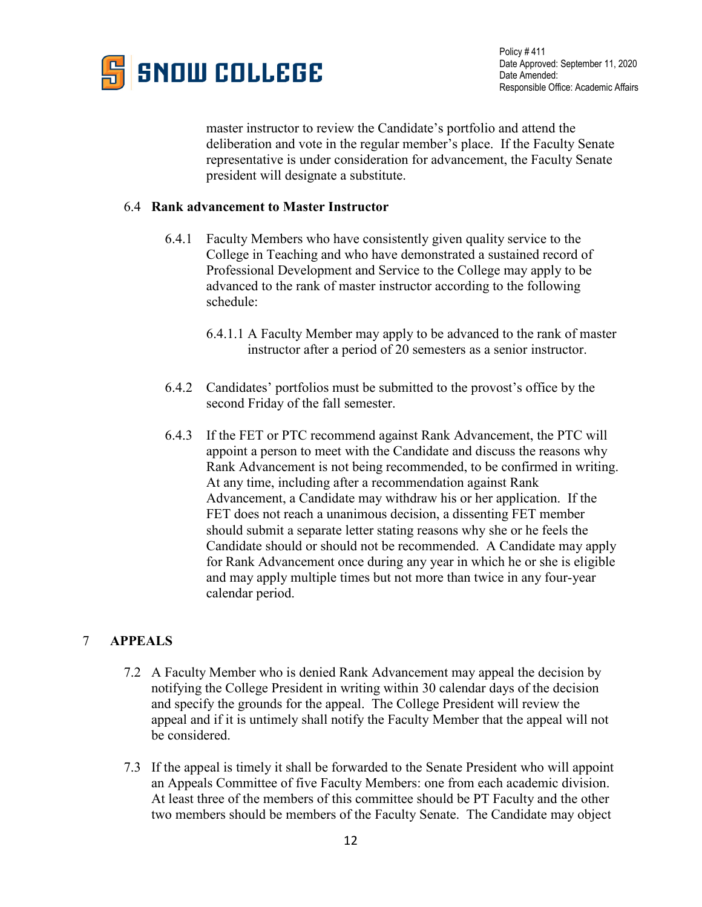

master instructor to review the Candidate's portfolio and attend the deliberation and vote in the regular member's place. If the Faculty Senate representative is under consideration for advancement, the Faculty Senate president will designate a substitute.

## 6.4 **Rank advancement to Master Instructor**

- 6.4.1 Faculty Members who have consistently given quality service to the College in Teaching and who have demonstrated a sustained record of Professional Development and Service to the College may apply to be advanced to the rank of master instructor according to the following schedule:
	- 6.4.1.1 A Faculty Member may apply to be advanced to the rank of master instructor after a period of 20 semesters as a senior instructor.
- 6.4.2 Candidates' portfolios must be submitted to the provost's office by the second Friday of the fall semester.
- 6.4.3 If the FET or PTC recommend against Rank Advancement, the PTC will appoint a person to meet with the Candidate and discuss the reasons why Rank Advancement is not being recommended, to be confirmed in writing. At any time, including after a recommendation against Rank Advancement, a Candidate may withdraw his or her application. If the FET does not reach a unanimous decision, a dissenting FET member should submit a separate letter stating reasons why she or he feels the Candidate should or should not be recommended. A Candidate may apply for Rank Advancement once during any year in which he or she is eligible and may apply multiple times but not more than twice in any four-year calendar period.

### 7 **APPEALS**

- 7.2 A Faculty Member who is denied Rank Advancement may appeal the decision by notifying the College President in writing within 30 calendar days of the decision and specify the grounds for the appeal. The College President will review the appeal and if it is untimely shall notify the Faculty Member that the appeal will not be considered.
- 7.3 If the appeal is timely it shall be forwarded to the Senate President who will appoint an Appeals Committee of five Faculty Members: one from each academic division. At least three of the members of this committee should be PT Faculty and the other two members should be members of the Faculty Senate. The Candidate may object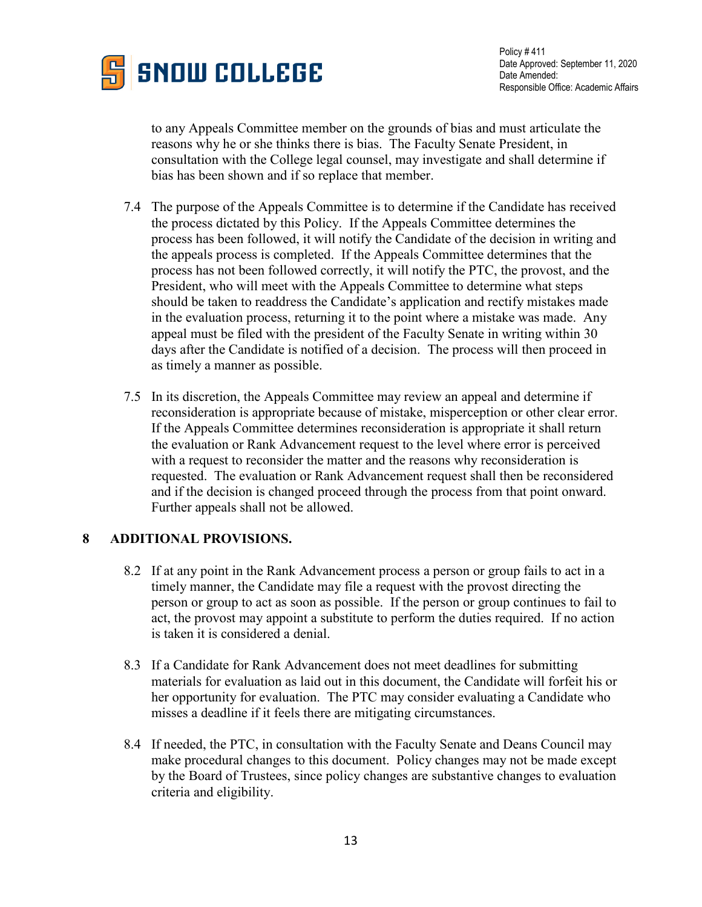

to any Appeals Committee member on the grounds of bias and must articulate the reasons why he or she thinks there is bias. The Faculty Senate President, in consultation with the College legal counsel, may investigate and shall determine if bias has been shown and if so replace that member.

- 7.4 The purpose of the Appeals Committee is to determine if the Candidate has received the process dictated by this Policy. If the Appeals Committee determines the process has been followed, it will notify the Candidate of the decision in writing and the appeals process is completed. If the Appeals Committee determines that the process has not been followed correctly, it will notify the PTC, the provost, and the President, who will meet with the Appeals Committee to determine what steps should be taken to readdress the Candidate's application and rectify mistakes made in the evaluation process, returning it to the point where a mistake was made. Any appeal must be filed with the president of the Faculty Senate in writing within 30 days after the Candidate is notified of a decision. The process will then proceed in as timely a manner as possible.
- 7.5 In its discretion, the Appeals Committee may review an appeal and determine if reconsideration is appropriate because of mistake, misperception or other clear error. If the Appeals Committee determines reconsideration is appropriate it shall return the evaluation or Rank Advancement request to the level where error is perceived with a request to reconsider the matter and the reasons why reconsideration is requested. The evaluation or Rank Advancement request shall then be reconsidered and if the decision is changed proceed through the process from that point onward. Further appeals shall not be allowed.

# **8 ADDITIONAL PROVISIONS.**

- 8.2 If at any point in the Rank Advancement process a person or group fails to act in a timely manner, the Candidate may file a request with the provost directing the person or group to act as soon as possible. If the person or group continues to fail to act, the provost may appoint a substitute to perform the duties required. If no action is taken it is considered a denial.
- 8.3 If a Candidate for Rank Advancement does not meet deadlines for submitting materials for evaluation as laid out in this document, the Candidate will forfeit his or her opportunity for evaluation. The PTC may consider evaluating a Candidate who misses a deadline if it feels there are mitigating circumstances.
- 8.4 If needed, the PTC, in consultation with the Faculty Senate and Deans Council may make procedural changes to this document. Policy changes may not be made except by the Board of Trustees, since policy changes are substantive changes to evaluation criteria and eligibility.